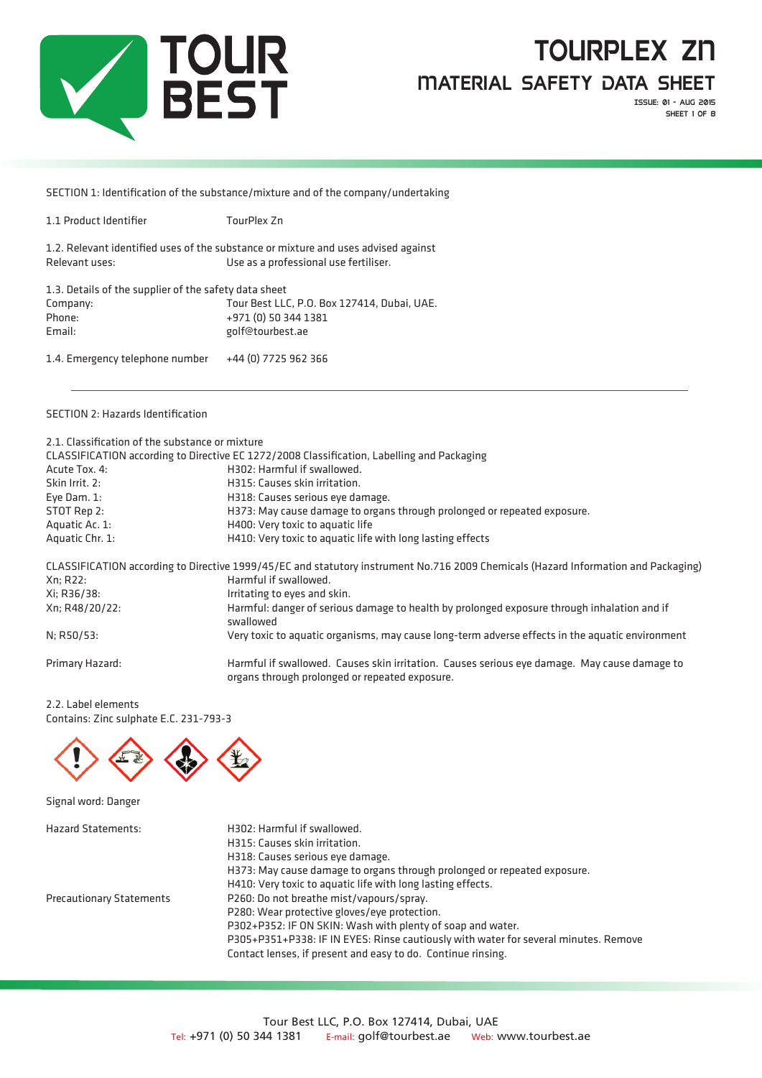

Issue: 01 - aug 2015 SHEET 1 OF 8

SECTION 1: Identification of the substance/mixture and of the company/undertaking

1.2. Relevant identified uses of the substance or mixture and uses advised against Relevant uses: Use as a professional use fertiliser.

| 1.3. Details of the supplier of the safety data sheet |                                             |
|-------------------------------------------------------|---------------------------------------------|
| Company:                                              | Tour Best LLC, P.O. Box 127414, Dubai, UAE. |
| Phone:                                                | +971 (0) 50 344 1381                        |
| Email:                                                | golf@tourbest.ae                            |
| 1.4. Emergency telephone number                       | +44 (0) 7725 962 366                        |

### SECTION 2: Hazards Identification

| 2.1. Classification of the substance or mixture | CLASSIFICATION according to Directive EC 1272/2008 Classification, Labelling and Packaging                                                     |  |  |
|-------------------------------------------------|------------------------------------------------------------------------------------------------------------------------------------------------|--|--|
| Acute Tox. 4:                                   | H302: Harmful if swallowed.                                                                                                                    |  |  |
| Skin Irrit, 2:                                  | H315: Causes skin irritation.                                                                                                                  |  |  |
| Eye Dam. 1:                                     | H318: Causes serious eye damage.                                                                                                               |  |  |
| STOT Rep 2:                                     | H373: May cause damage to organs through prolonged or repeated exposure.                                                                       |  |  |
| Aquatic Ac. 1:                                  | H400: Very toxic to aquatic life                                                                                                               |  |  |
| Aquatic Chr. 1:                                 | H410: Very toxic to aquatic life with long lasting effects                                                                                     |  |  |
|                                                 | CLASSIFICATION according to Directive 1999/45/EC and statutory instrument No.716 2009 Chemicals (Hazard Information and Packaging)             |  |  |
| Xn; R22:                                        | Harmful if swallowed.                                                                                                                          |  |  |
| Xi: R36/38:                                     | Irritating to eyes and skin.                                                                                                                   |  |  |
| Xn; R48/20/22:                                  | Harmful: danger of serious damage to health by prolonged exposure through inhalation and if<br>swallowed                                       |  |  |
| N; R50/53:                                      | Very toxic to aquatic organisms, may cause long-term adverse effects in the aquatic environment                                                |  |  |
| Primary Hazard:                                 | Harmful if swallowed. Causes skin irritation. Causes serious eye damage. May cause damage to<br>organs through prolonged or repeated exposure. |  |  |

2.2. Label elements Contains: Zinc sulphate E.C. 231-793-3



Signal word: Danger

| <b>Hazard Statements:</b>       | H302: Harmful if swallowed.                                                         |
|---------------------------------|-------------------------------------------------------------------------------------|
|                                 | H315: Causes skin irritation.                                                       |
|                                 | H318: Causes serious eye damage.                                                    |
|                                 | H373: May cause damage to organs through prolonged or repeated exposure.            |
|                                 | H410: Very toxic to aquatic life with long lasting effects.                         |
| <b>Precautionary Statements</b> | P260: Do not breathe mist/vapours/spray.                                            |
|                                 | P280: Wear protective gloves/eye protection.                                        |
|                                 | P302+P352: IF ON SKIN: Wash with plenty of soap and water.                          |
|                                 | P305+P351+P338: IF IN EYES: Rinse cautiously with water for several minutes. Remove |
|                                 | Contact lenses, if present and easy to do. Continue rinsing.                        |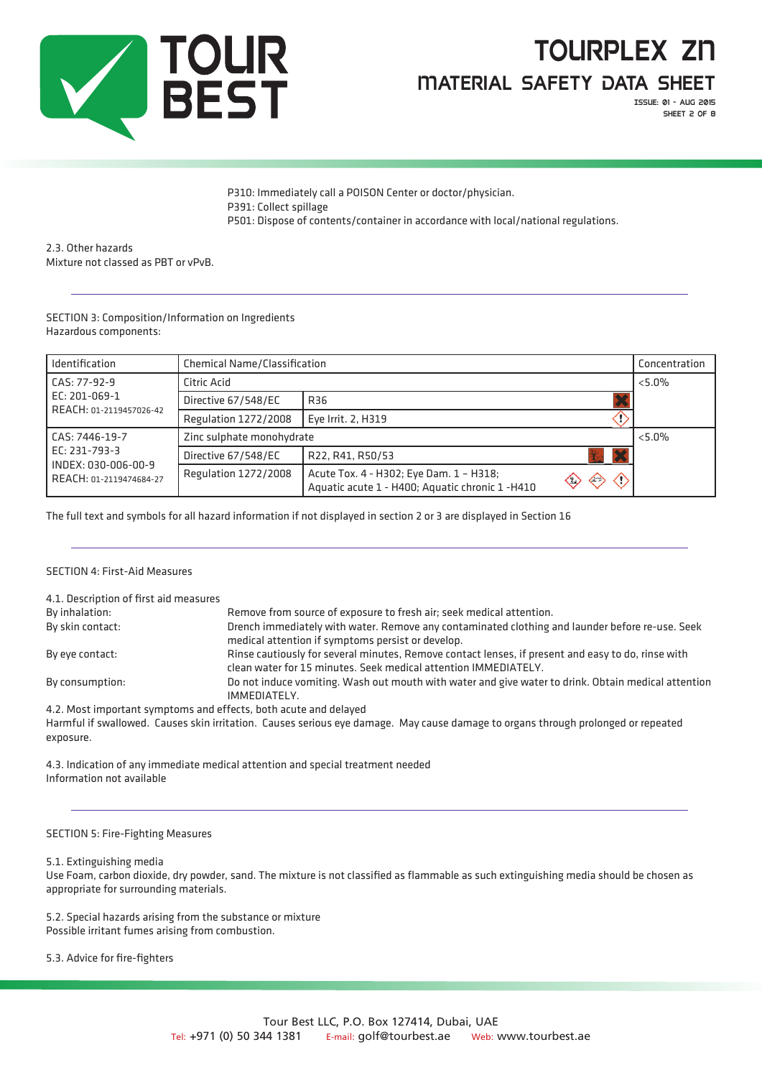

Issue: 01 - aug 2015 SHEET 2 OF 8

P310: Immediately call a POISON Center or doctor/physician. P391: Collect spillage P501: Dispose of contents/container in accordance with local/national regulations.

2.3. Other hazards Mixture not classed as PBT or vPvB.

SECTION 3: Composition/Information on Ingredients Hazardous components:

| Identification                                                  | <b>Chemical Name/Classification</b> |                                                                                                                                  | Concentration |
|-----------------------------------------------------------------|-------------------------------------|----------------------------------------------------------------------------------------------------------------------------------|---------------|
| CAS: 77-92-9                                                    | Citric Acid                         |                                                                                                                                  | $< 5.0\%$     |
| EC: 201-069-1<br>REACH: 01-2119457026-42                        | Directive 67/548/EC                 | R36                                                                                                                              |               |
|                                                                 | <b>Regulation 1272/2008</b>         | Eve Irrit. 2, H319                                                                                                               |               |
| CAS: 7446-19-7                                                  | Zinc sulphate monohydrate           |                                                                                                                                  | $< 5.0\%$     |
| EC: 231-793-3<br>INDEX: 030-006-00-9<br>REACH: 01-2119474684-27 | Directive 67/548/EC                 | R22, R41, R50/53                                                                                                                 |               |
|                                                                 | Regulation 1272/2008                | Acute Tox. 4 - H302; Eye Dam. 1 - H318;<br>◇<br>⇐<br>$\langle \cdot \rangle$<br>Aquatic acute 1 - H400; Aquatic chronic 1 - H410 |               |

The full text and symbols for all hazard information if not displayed in section 2 or 3 are displayed in Section 16

### SECTION 4: First-Aid Measures

| Remove from source of exposure to fresh air; seek medical attention.                                                                                                  |
|-----------------------------------------------------------------------------------------------------------------------------------------------------------------------|
| Drench immediately with water. Remove any contaminated clothing and launder before re-use. Seek<br>medical attention if symptoms persist or develop.                  |
| Rinse cautiously for several minutes, Remove contact lenses, if present and easy to do, rinse with<br>clean water for 15 minutes. Seek medical attention IMMEDIATELY. |
| Do not induce vomiting. Wash out mouth with water and give water to drink. Obtain medical attention<br>IMMEDIATELY.                                                   |
|                                                                                                                                                                       |

4.2. Most important symptoms and effects, both acute and delayed Harmful if swallowed. Causes skin irritation. Causes serious eye damage. May cause damage to organs through prolonged or repeated exposure.

4.3. Indication of any immediate medical attention and special treatment needed Information not available

### SECTION 5: Fire-Fighting Measures

### 5.1. Extinguishing media

Use Foam, carbon dioxide, dry powder, sand. The mixture is not classified as flammable as such extinguishing media should be chosen as appropriate for surrounding materials.

5.2. Special hazards arising from the substance or mixture Possible irritant fumes arising from combustion.

5.3. Advice for fire-fighters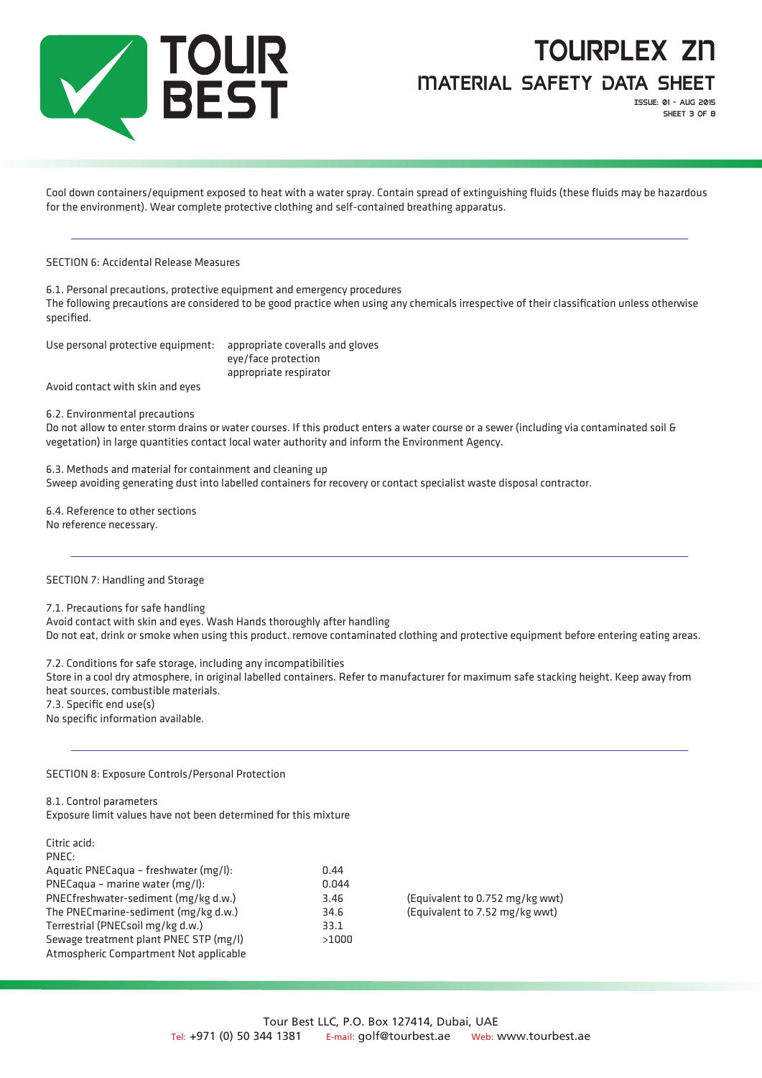

Issue: 01 - aug 2015 SHEET 3 OF 8

Cool down containers/equipment exposed to heat with a water spray. Contain spread of extinguishing fluids (these fluids may be hazardous for the environment). Wear complete protective clothing and self-contained breathing apparatus.

SECTION 6: Accidental Release Measures

6.1. Personal precautions, protective equipment and emergency procedures The following precautions are considered to be good practice when using any chemicals irrespective of their classification unless otherwise specified.

Use personal protective equipment: appropriate coveralls and gloves

eye/face protection appropriate respirator

Avoid contact with skin and eyes

6.2. Environmental precautions

Do not allow to enter storm drains or water courses. If this product enters a water course or a sewer (including via contaminated soil & vegetation) in large quantities contact local water authority and inform the Environment Agency.

6.3. Methods and material for containment and cleaning up Sweep avoiding generating dust into labelled containers for recovery or contact specialist waste disposal contractor.

6.4. Reference to other sections No reference necessary.

### SECTION 7: Handling and Storage

7.1. Precautions for safe handling

Avoid contact with skin and eyes. Wash Hands thoroughly after handling Do not eat, drink or smoke when using this product. remove contaminated clothing and protective equipment before entering eating areas.

7.2. Conditions for safe storage, including any incompatibilities

Store in a cool dry atmosphere, in original labelled containers. Refer to manufacturer for maximum safe stacking height. Keep away from heat sources, combustible materials.

7.3. Specific end use(s)

No specific information available.

SECTION 8: Exposure Controls/Personal Protection

8.1. Control parameters

Exposure limit values have not been determined for this mixture

| 0.44  |
|-------|
| 0.044 |
| 3.46  |
| 34.6  |
| 33.1  |
| >1000 |
|       |
|       |

(Equivalent to 0.752 mg/kg wwt) (Equivalent to 7.52 mg/kg wwt)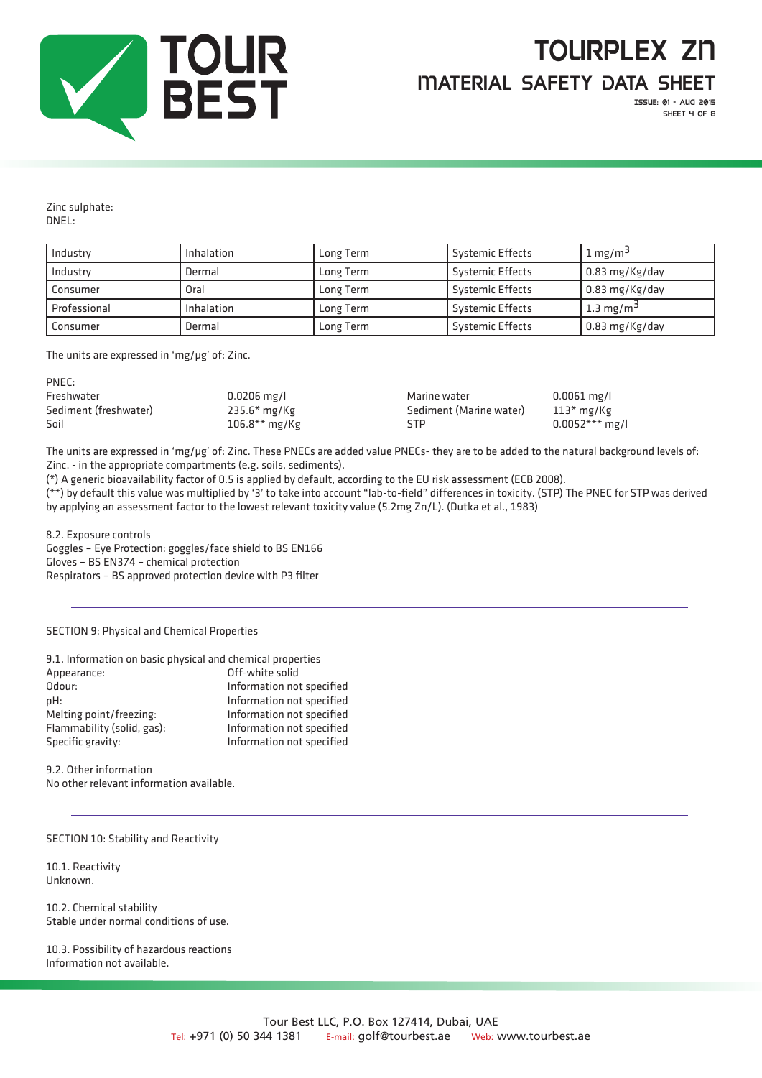

Issue: 01 - aug 2015 SHEET 4 OF 8

Zinc sulphate: DNEL:

| Industry     | Inhalation | Long Term | <b>Systemic Effects</b> | $1 \text{ mg/m}^3$     |
|--------------|------------|-----------|-------------------------|------------------------|
| Industry     | Dermal     | Long Term | <b>Systemic Effects</b> | $\vert$ 0.83 mg/Kg/day |
| Consumer     | Oral       | Long Term | Systemic Effects        | $\vert$ 0.83 mg/Kg/day |
| Professional | Inhalation | Long Term | Systemic Effects        | 1.3 mg/m <sup>3</sup>  |
| Consumer     | Dermal     | Long Term | <b>Systemic Effects</b> | $\vert$ 0.83 mg/Kg/day |

The units are expressed in 'mg/μg' of: Zinc.

| $0.0206$ mg/l   |     | $0.0061$ mg/l                           |
|-----------------|-----|-----------------------------------------|
| $235.6*$ mg/Kg  |     | $113*$ mg/Kg                            |
| $106.8**$ mg/Kg | STP | $0.0052***$ mg/l                        |
|                 |     | Marine water<br>Sediment (Marine water) |

The units are expressed in 'mg/μg' of: Zinc. These PNECs are added value PNECs- they are to be added to the natural background levels of: Zinc. - in the appropriate compartments (e.g. soils, sediments).

(\*) A generic bioavailability factor of 0.5 is applied by default, according to the EU risk assessment (ECB 2008).

(\*\*) by default this value was multiplied by '3' to take into account "lab-to-field" differences in toxicity. (STP) The PNEC for STP was derived by applying an assessment factor to the lowest relevant toxicity value (5.2mg Zn/L). (Dutka et al., 1983)

8.2. Exposure controls

Goggles – Eye Protection: goggles/face shield to BS EN166 Gloves – BS EN374 – chemical protection Respirators – BS approved protection device with P3 filter

SECTION 9: Physical and Chemical Properties

| 9.1. Information on basic physical and chemical properties |                           |
|------------------------------------------------------------|---------------------------|
| Appearance:                                                | Off-white solid           |
| Odour:                                                     | Information not specified |
| pH:                                                        | Information not specified |
| Melting point/freezing:                                    | Information not specified |
| Flammability (solid, gas):                                 | Information not specified |
| Specific gravity:                                          | Information not specified |
|                                                            |                           |

9.2. Other information No other relevant information available.

SECTION 10: Stability and Reactivity

10.1. Reactivity Unknown.

10.2. Chemical stability Stable under normal conditions of use.

10.3. Possibility of hazardous reactions Information not available.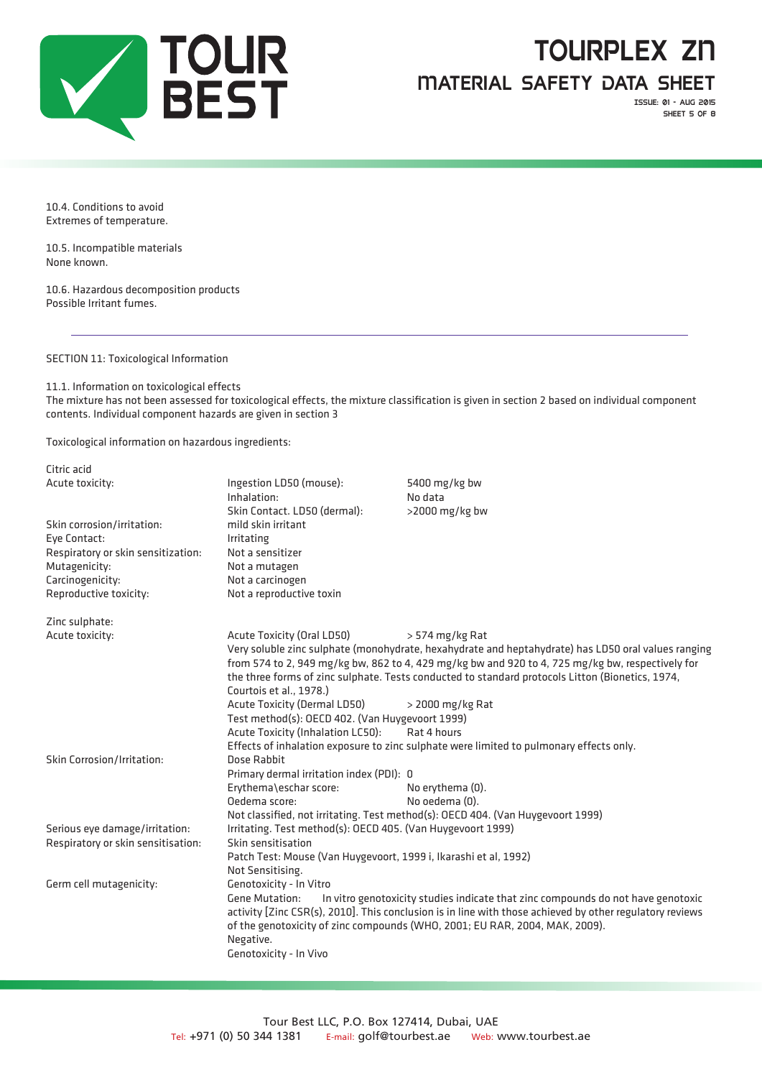

# tourplex zn

Material Safety Data Sheet

Issue: 01 - aug 2015 SHEET 5 OF 8

10.4. Conditions to avoid Extremes of temperature.

10.5. Incompatible materials None known.

10.6. Hazardous decomposition products Possible Irritant fumes.

SECTION 11: Toxicological Information

11.1. Information on toxicological effects The mixture has not been assessed for toxicological effects, the mixture classification is given in section 2 based on individual component contents. Individual component hazards are given in section 3

Toxicological information on hazardous ingredients:

| Citric acid                        |                                                                                                           |                                                                                         |  |  |
|------------------------------------|-----------------------------------------------------------------------------------------------------------|-----------------------------------------------------------------------------------------|--|--|
| Acute toxicity:                    | Ingestion LD50 (mouse):                                                                                   | 5400 mg/kg bw                                                                           |  |  |
|                                    | Inhalation:                                                                                               | No data                                                                                 |  |  |
|                                    | Skin Contact. LD50 (dermal):                                                                              | >2000 mg/kg bw                                                                          |  |  |
| Skin corrosion/irritation:         | mild skin irritant                                                                                        |                                                                                         |  |  |
| Eve Contact:                       | Irritating                                                                                                |                                                                                         |  |  |
| Respiratory or skin sensitization: | Not a sensitizer                                                                                          |                                                                                         |  |  |
| Mutagenicity:                      | Not a mutagen                                                                                             |                                                                                         |  |  |
| Carcinogenicity:                   | Not a carcinogen                                                                                          |                                                                                         |  |  |
| Reproductive toxicity:             | Not a reproductive toxin                                                                                  |                                                                                         |  |  |
| Zinc sulphate:                     |                                                                                                           |                                                                                         |  |  |
| Acute toxicity:                    | Acute Toxicity (Oral LD50)                                                                                | $>$ 574 mg/kg Rat                                                                       |  |  |
|                                    | Very soluble zinc sulphate (monohydrate, hexahydrate and heptahydrate) has LD50 oral values ranging       |                                                                                         |  |  |
|                                    | from 574 to 2, 949 mg/kg bw, 862 to 4, 429 mg/kg bw and 920 to 4, 725 mg/kg bw, respectively for          |                                                                                         |  |  |
|                                    | the three forms of zinc sulphate. Tests conducted to standard protocols Litton (Bionetics, 1974,          |                                                                                         |  |  |
|                                    | Courtois et al., 1978.)                                                                                   |                                                                                         |  |  |
|                                    | Acute Toxicity (Dermal LD50)                                                                              | > 2000 mg/kg Rat                                                                        |  |  |
|                                    | Test method(s): OECD 402. (Van Huygevoort 1999)                                                           |                                                                                         |  |  |
|                                    | Acute Toxicity (Inhalation LC50):<br>Rat 4 hours                                                          |                                                                                         |  |  |
|                                    |                                                                                                           | Effects of inhalation exposure to zinc sulphate were limited to pulmonary effects only. |  |  |
| Skin Corrosion/Irritation:         | Dose Rabbit                                                                                               |                                                                                         |  |  |
|                                    | Primary dermal irritation index (PDI): 0                                                                  |                                                                                         |  |  |
|                                    | Erythema\eschar score:                                                                                    | No erythema (0).                                                                        |  |  |
|                                    | Oedema score:                                                                                             | No oedema (0).                                                                          |  |  |
|                                    |                                                                                                           | Not classified, not irritating. Test method(s): OECD 404. (Van Huygevoort 1999)         |  |  |
| Serious eye damage/irritation:     | Irritating. Test method(s): OECD 405. (Van Huygevoort 1999)                                               |                                                                                         |  |  |
| Respiratory or skin sensitisation: | Skin sensitisation                                                                                        |                                                                                         |  |  |
|                                    | Patch Test: Mouse (Van Huygevoort, 1999 i, Ikarashi et al, 1992)                                          |                                                                                         |  |  |
|                                    | Not Sensitising.                                                                                          |                                                                                         |  |  |
| Germ cell mutagenicity:            | Genotoxicity - In Vitro                                                                                   |                                                                                         |  |  |
|                                    | In vitro genotoxicity studies indicate that zinc compounds do not have genotoxic<br><b>Gene Mutation:</b> |                                                                                         |  |  |
|                                    | activity [Zinc CSR(s), 2010]. This conclusion is in line with those achieved by other regulatory reviews  |                                                                                         |  |  |
|                                    |                                                                                                           | of the genotoxicity of zinc compounds (WHO, 2001; EU RAR, 2004, MAK, 2009).             |  |  |
|                                    | Negative.                                                                                                 |                                                                                         |  |  |
|                                    | Genotoxicity - In Vivo                                                                                    |                                                                                         |  |  |
|                                    |                                                                                                           |                                                                                         |  |  |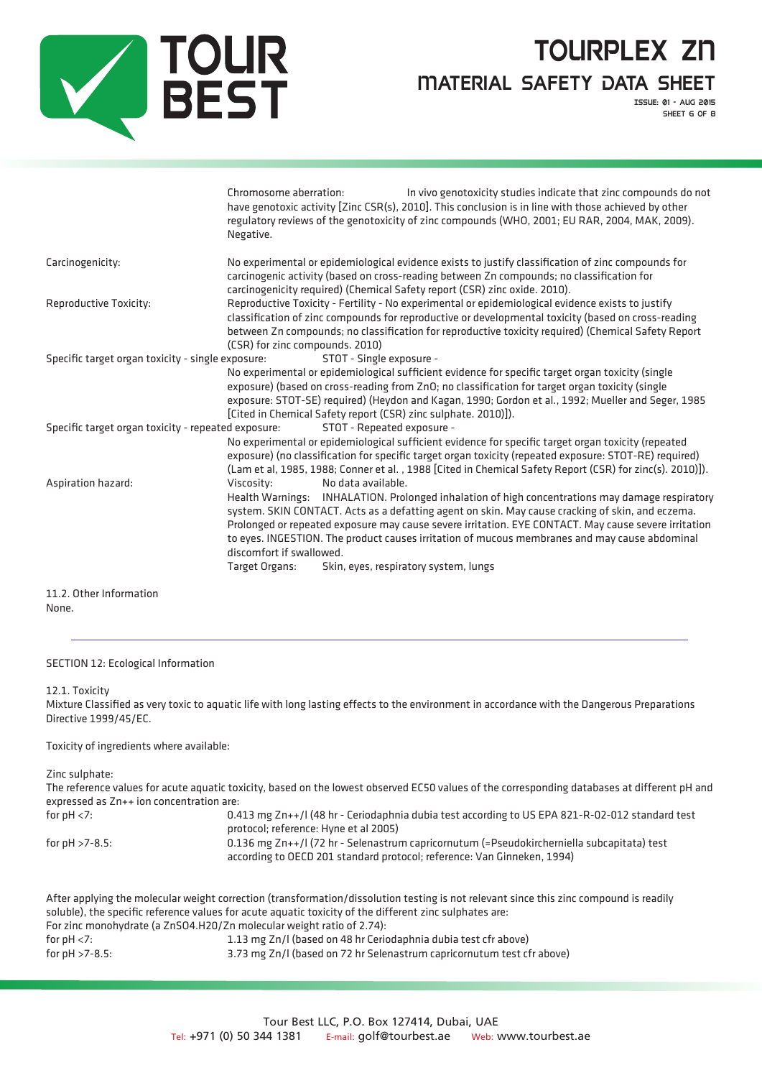

Issue: 01 - aug 2015 SHEET 6 OF 8

|                                                     | Chromosome aberration:<br>Negative.                                                                                                                                                                                                                                                                                                                                                                                                                                                                                                        | In vivo genotoxicity studies indicate that zinc compounds do not<br>have genotoxic activity [Zinc CSR(s), 2010]. This conclusion is in line with those achieved by other<br>regulatory reviews of the genotoxicity of zinc compounds (WHO, 2001; EU RAR, 2004, MAK, 2009).                                                                                                                               |  |
|-----------------------------------------------------|--------------------------------------------------------------------------------------------------------------------------------------------------------------------------------------------------------------------------------------------------------------------------------------------------------------------------------------------------------------------------------------------------------------------------------------------------------------------------------------------------------------------------------------------|----------------------------------------------------------------------------------------------------------------------------------------------------------------------------------------------------------------------------------------------------------------------------------------------------------------------------------------------------------------------------------------------------------|--|
| Carcinogenicity:                                    | No experimental or epidemiological evidence exists to justify classification of zinc compounds for<br>carcinogenic activity (based on cross-reading between Zn compounds; no classification for<br>carcinogenicity required) (Chemical Safety report (CSR) zinc oxide. 2010).                                                                                                                                                                                                                                                              |                                                                                                                                                                                                                                                                                                                                                                                                          |  |
| Reproductive Toxicity:                              | Reproductive Toxicity - Fertility - No experimental or epidemiological evidence exists to justify<br>classification of zinc compounds for reproductive or developmental toxicity (based on cross-reading<br>between Zn compounds; no classification for reproductive toxicity required) (Chemical Safety Report<br>(CSR) for zinc compounds. 2010)                                                                                                                                                                                         |                                                                                                                                                                                                                                                                                                                                                                                                          |  |
| Specific target organ toxicity - single exposure:   |                                                                                                                                                                                                                                                                                                                                                                                                                                                                                                                                            | STOT - Single exposure -<br>No experimental or epidemiological sufficient evidence for specific target organ toxicity (single<br>exposure) (based on cross-reading from ZnO; no classification for target organ toxicity (single<br>exposure: STOT-SE) required) (Heydon and Kagan, 1990; Gordon et al., 1992; Mueller and Seger, 1985<br>[Cited in Chemical Safety report (CSR) zinc sulphate. 2010)]). |  |
| Specific target organ toxicity - repeated exposure: |                                                                                                                                                                                                                                                                                                                                                                                                                                                                                                                                            | STOT - Repeated exposure -<br>No experimental or epidemiological sufficient evidence for specific target organ toxicity (repeated<br>exposure) (no classification for specific target organ toxicity (repeated exposure: STOT-RE) required)<br>(Lam et al, 1985, 1988; Conner et al., 1988 [Cited in Chemical Safety Report (CSR) for zinc(s). 2010)]).                                                  |  |
| Aspiration hazard:                                  | Viscosity:<br>No data available.<br>INHALATION. Prolonged inhalation of high concentrations may damage respiratory<br>Health Warnings:<br>system. SKIN CONTACT. Acts as a defatting agent on skin. May cause cracking of skin, and eczema.<br>Prolonged or repeated exposure may cause severe irritation. EYE CONTACT. May cause severe irritation<br>to eyes. INGESTION. The product causes irritation of mucous membranes and may cause abdominal<br>discomfort if swallowed.<br>Skin, eyes, respiratory system, lungs<br>Target Organs: |                                                                                                                                                                                                                                                                                                                                                                                                          |  |
| 11.2. Other Information                             |                                                                                                                                                                                                                                                                                                                                                                                                                                                                                                                                            |                                                                                                                                                                                                                                                                                                                                                                                                          |  |

None.

### SECTION 12: Ecological Information

#### 12.1. Toxicity

Mixture Classified as very toxic to aquatic life with long lasting effects to the environment in accordance with the Dangerous Preparations Directive 1999/45/EC.

### Toxicity of ingredients where available:

Zinc sulphate:

The reference values for acute aquatic toxicity, based on the lowest observed EC50 values of the corresponding databases at different pH and expressed as Zn++ ion concentration are:

| for $pH < 7$ :     | 0.413 mg Zn++/l (48 hr - Ceriodaphnia dubia test according to US EPA 821-R-02-012 standard test<br>protocol; reference: Hyne et al 2005)                              |
|--------------------|-----------------------------------------------------------------------------------------------------------------------------------------------------------------------|
| for $pH > 7-8.5$ : | 0.136 mg Zn++/l (72 hr - Selenastrum capricornutum (=Pseudokircherniella subcapitata) test<br>according to OECD 201 standard protocol; reference: Van Ginneken, 1994) |

|                                                                                                         | After applying the molecular weight correction (transformation/dissolution testing is not relevant since this zinc compound is readily |  |
|---------------------------------------------------------------------------------------------------------|----------------------------------------------------------------------------------------------------------------------------------------|--|
| soluble), the specific reference values for acute aguatic toxicity of the different zinc sulphates are: |                                                                                                                                        |  |
| For zinc monohydrate (a ZnSO4.H20/Zn molecular weight ratio of 2.74):                                   |                                                                                                                                        |  |
| for $pH < 7$ :                                                                                          | 1.13 mg Zn/l (based on 48 hr Ceriodaphnia dubia test cfr above)                                                                        |  |
| for $pH > 7-8.5$ :                                                                                      | 3.73 mg Zn/l (based on 72 hr Selenastrum capricornutum test cfr above)                                                                 |  |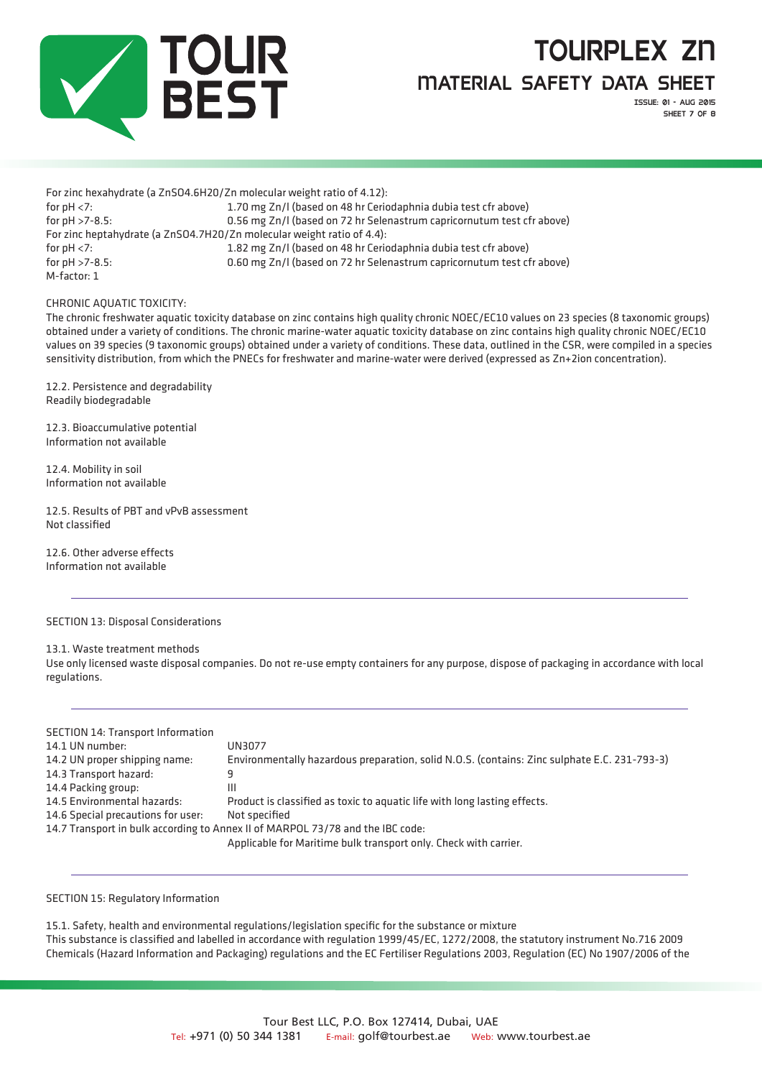

Issue: 01 - aug 2015 SHEET 7 OF 8

For zinc hexahydrate (a ZnSO4.6H20/Zn molecular weight ratio of 4.12): for pH <7: 1.70 mg Zn/l (based on 48 hr Ceriodaphnia dubia test cfr above) for pH >7-8.5: 0.56 mg Zn/l (based on 72 hr Selenastrum capricornutum test cfr above) For zinc heptahydrate (a ZnSO4.7H20/Zn molecular weight ratio of 4.4): for pH <7: 1.82 mg Zn/l (based on 48 hr Ceriodaphnia dubia test cfr above) for pH >7-8.5: 0.60 mg Zn/l (based on 72 hr Selenastrum capricornutum test cfr above) M-factor: 1

CHRONIC AQUATIC TOXICITY:

The chronic freshwater aquatic toxicity database on zinc contains high quality chronic NOEC/EC10 values on 23 species (8 taxonomic groups) obtained under a variety of conditions. The chronic marine-water aquatic toxicity database on zinc contains high quality chronic NOEC/EC10 values on 39 species (9 taxonomic groups) obtained under a variety of conditions. These data, outlined in the CSR, were compiled in a species sensitivity distribution, from which the PNECs for freshwater and marine-water were derived (expressed as Zn+2ion concentration).

12.2. Persistence and degradability Readily biodegradable

12.3. Bioaccumulative potential Information not available

12.4. Mobility in soil Information not available

12.5. Results of PBT and vPvB assessment Not classified

12.6. Other adverse effects Information not available

SECTION 13: Disposal Considerations

13.1. Waste treatment methods

Use only licensed waste disposal companies. Do not re-use empty containers for any purpose, dispose of packaging in accordance with local regulations.

| <b>SECTION 14: Transport Information</b>                                       |                                                                                              |  |
|--------------------------------------------------------------------------------|----------------------------------------------------------------------------------------------|--|
| 14.1 UN number:                                                                | UN3077                                                                                       |  |
| 14.2 UN proper shipping name:                                                  | Environmentally hazardous preparation, solid N.O.S. (contains: Zinc sulphate E.C. 231-793-3) |  |
| 14.3 Transport hazard:                                                         | 9                                                                                            |  |
| 14.4 Packing group:                                                            | Ш                                                                                            |  |
| 14.5 Environmental hazards:                                                    | Product is classified as toxic to aquatic life with long lasting effects.                    |  |
| 14.6 Special precautions for user:                                             | Not specified                                                                                |  |
| 14.7 Transport in bulk according to Annex II of MARPOL 73/78 and the IBC code: |                                                                                              |  |
|                                                                                | Applicable for Maritime bulk transport only. Check with carrier.                             |  |

SECTION 15: Regulatory Information

15.1. Safety, health and environmental regulations/legislation specific for the substance or mixture This substance is classified and labelled in accordance with regulation 1999/45/EC, 1272/2008, the statutory instrument No.716 2009 Chemicals (Hazard Information and Packaging) regulations and the EC Fertiliser Regulations 2003, Regulation (EC) No 1907/2006 of the